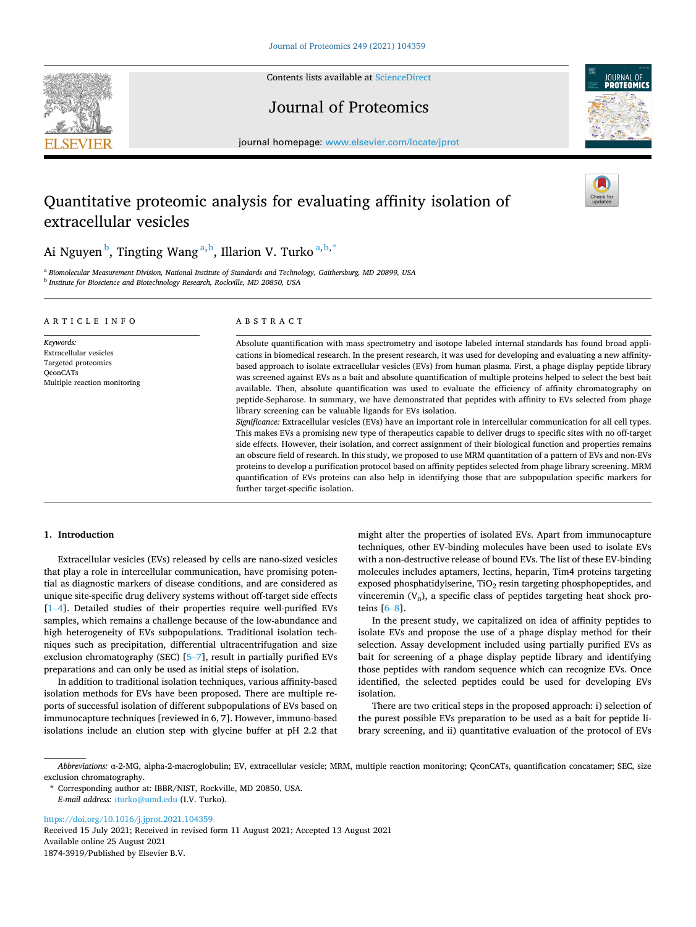Contents lists available at [ScienceDirect](www.sciencedirect.com/science/journal/18743919)







journal homepage: [www.elsevier.com/locate/jprot](https://www.elsevier.com/locate/jprot)

# Quantitative proteomic analysis for evaluating affinity isolation of extracellular vesicles



Ai Nguyen  $^{\rm b}$ , Tingting Wang  $^{\rm a,b}$ , Illarion V. Turko  $^{\rm a,b,*}$ 

<sup>a</sup> *Biomolecular Measurement Division, National Institute of Standards and Technology, Gaithersburg, MD 20899, USA* <sup>b</sup> *Institute for Bioscience and Biotechnology Research, Rockville, MD 20850, USA* 

| ARTICLE INFO                                                                                                  | ABSTRACT                                                                                                                                                                                                                                                                                                                                                                                                                                                                                                                                                                                                                                                                                                                                                                                                                                                                                                                                                                                                                                                                                                                                                                                                                                                                                                                                                                                                                                                                                                                                    |  |
|---------------------------------------------------------------------------------------------------------------|---------------------------------------------------------------------------------------------------------------------------------------------------------------------------------------------------------------------------------------------------------------------------------------------------------------------------------------------------------------------------------------------------------------------------------------------------------------------------------------------------------------------------------------------------------------------------------------------------------------------------------------------------------------------------------------------------------------------------------------------------------------------------------------------------------------------------------------------------------------------------------------------------------------------------------------------------------------------------------------------------------------------------------------------------------------------------------------------------------------------------------------------------------------------------------------------------------------------------------------------------------------------------------------------------------------------------------------------------------------------------------------------------------------------------------------------------------------------------------------------------------------------------------------------|--|
| Keywords:<br>Extracellular vesicles<br>Targeted proteomics<br><b>OconCATs</b><br>Multiple reaction monitoring | Absolute quantification with mass spectrometry and isotope labeled internal standards has found broad appli-<br>cations in biomedical research. In the present research, it was used for developing and evaluating a new affinity-<br>based approach to isolate extracellular vesicles (EVs) from human plasma. First, a phage display peptide library<br>was screened against EVs as a bait and absolute quantification of multiple proteins helped to select the best bait<br>available. Then, absolute quantification was used to evaluate the efficiency of affinity chromatography on<br>peptide-Sepharose. In summary, we have demonstrated that peptides with affinity to EVs selected from phage<br>library screening can be valuable ligands for EVs isolation.<br>Significance: Extracellular vesicles (EVs) have an important role in intercellular communication for all cell types.<br>This makes EVs a promising new type of therapeutics capable to deliver drugs to specific sites with no off-target<br>side effects. However, their isolation, and correct assignment of their biological function and properties remains<br>an obscure field of research. In this study, we proposed to use MRM quantitation of a pattern of EVs and non-EVs<br>proteins to develop a purification protocol based on affinity peptides selected from phage library screening. MRM<br>quantification of EVs proteins can also help in identifying those that are subpopulation specific markers for<br>further target-specific isolation. |  |

# **1. Introduction**

Extracellular vesicles (EVs) released by cells are nano-sized vesicles that play a role in intercellular communication, have promising potential as diagnostic markers of disease conditions, and are considered as unique site-specific drug delivery systems without off-target side effects [1–[4\]](#page-4-0). Detailed studies of their properties require well-purified EVs samples, which remains a challenge because of the low-abundance and high heterogeneity of EVs subpopulations. Traditional isolation techniques such as precipitation, differential ultracentrifugation and size exclusion chromatography (SEC) [5–[7\]](#page-4-0), result in partially purified EVs preparations and can only be used as initial steps of isolation.

In addition to traditional isolation techniques, various affinity-based isolation methods for EVs have been proposed. There are multiple reports of successful isolation of different subpopulations of EVs based on immunocapture techniques [reviewed in 6, 7]. However, immuno-based isolations include an elution step with glycine buffer at pH 2.2 that might alter the properties of isolated EVs. Apart from immunocapture techniques, other EV-binding molecules have been used to isolate EVs with a non-destructive release of bound EVs. The list of these EV-binding molecules includes aptamers, lectins, heparin, Tim4 proteins targeting exposed phosphatidylserine,  $TiO<sub>2</sub>$  resin targeting phosphopeptides, and vinceremin  $(V_n)$ , a specific class of peptides targeting heat shock proteins [\[6](#page-4-0)–8].

In the present study, we capitalized on idea of affinity peptides to isolate EVs and propose the use of a phage display method for their selection. Assay development included using partially purified EVs as bait for screening of a phage display peptide library and identifying those peptides with random sequence which can recognize EVs. Once identified, the selected peptides could be used for developing EVs isolation.

There are two critical steps in the proposed approach: i) selection of the purest possible EVs preparation to be used as a bait for peptide library screening, and ii) quantitative evaluation of the protocol of EVs

\* Corresponding author at: IBBR/NIST, Rockville, MD 20850, USA. *E-mail address:* [iturko@umd.edu](mailto:iturko@umd.edu) (I.V. Turko).

<https://doi.org/10.1016/j.jprot.2021.104359>

Available online 25 August 2021 1874-3919/Published by Elsevier B.V. Received 15 July 2021; Received in revised form 11 August 2021; Accepted 13 August 2021

*Abbreviations:* α-2-MG, alpha-2-macroglobulin; EV, extracellular vesicle; MRM, multiple reaction monitoring; QconCATs, quantification concatamer; SEC, size exclusion chromatography.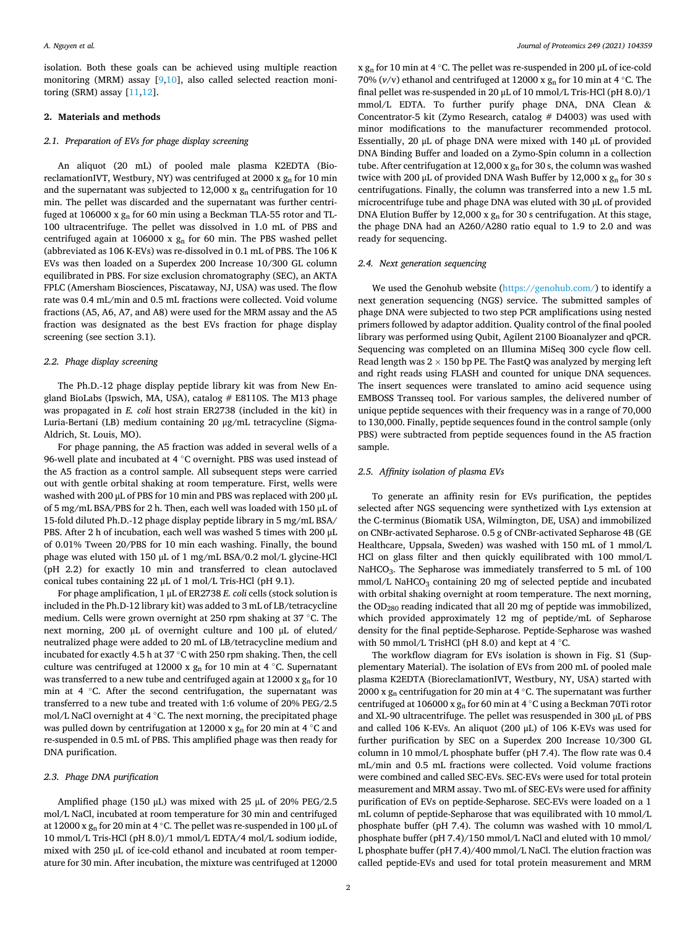isolation. Both these goals can be achieved using multiple reaction monitoring (MRM) assay [[9,10](#page-4-0)], also called selected reaction monitoring (SRM) assay [\[11](#page-4-0),[12\]](#page-4-0).

#### **2. Materials and methods**

#### *2.1. Preparation of EVs for phage display screening*

An aliquot (20 mL) of pooled male plasma K2EDTA (BioreclamationIVT, Westbury, NY) was centrifuged at 2000 x  $g_n$  for 10 min and the supernatant was subjected to 12,000 x  $g_n$  centrifugation for 10 min. The pellet was discarded and the supernatant was further centrifuged at 106000 x gn for 60 min using a Beckman TLA-55 rotor and TL-100 ultracentrifuge. The pellet was dissolved in 1.0 mL of PBS and centrifuged again at 106000 x  $g_n$  for 60 min. The PBS washed pellet (abbreviated as 106 K-EVs) was re-dissolved in 0.1 mL of PBS. The 106 K EVs was then loaded on a Superdex 200 Increase 10/300 GL column equilibrated in PBS. For size exclusion chromatography (SEC), an AKTA FPLC (Amersham Biosciences, Piscataway, NJ, USA) was used. The flow rate was 0.4 mL/min and 0.5 mL fractions were collected. Void volume fractions (A5, A6, A7, and A8) were used for the MRM assay and the A5 fraction was designated as the best EVs fraction for phage display screening (see section 3.1).

#### *2.2. Phage display screening*

The Ph.D.-12 phage display peptide library kit was from New England BioLabs (Ipswich, MA, USA), catalog  $#$  E8110S. The M13 phage was propagated in *E. coli* host strain ER2738 (included in the kit) in Luria-Bertani (LB) medium containing 20 μg/mL tetracycline (Sigma-Aldrich, St. Louis, MO).

For phage panning, the A5 fraction was added in several wells of a 96-well plate and incubated at 4 ℃ overnight. PBS was used instead of the A5 fraction as a control sample. All subsequent steps were carried out with gentle orbital shaking at room temperature. First, wells were washed with 200 μL of PBS for 10 min and PBS was replaced with 200 μL of 5 mg/mL BSA/PBS for 2 h. Then, each well was loaded with 150 μL of 15-fold diluted Ph.D.-12 phage display peptide library in 5 mg/mL BSA/ PBS. After 2 h of incubation, each well was washed 5 times with 200 μL of 0.01% Tween 20/PBS for 10 min each washing. Finally, the bound phage was eluted with 150 μL of 1 mg/mL BSA/0.2 mol/L glycine-HCl (pH 2.2) for exactly 10 min and transferred to clean autoclaved conical tubes containing 22 μL of 1 mol/L Tris-HCl (pH 9.1).

For phage amplification, 1 μL of ER2738 *E. coli* cells (stock solution is included in the Ph.D-12 library kit) was added to 3 mL of LB/tetracycline medium. Cells were grown overnight at 250 rpm shaking at 37 ◦C. The next morning, 200 μL of overnight culture and 100 μL of eluted/ neutralized phage were added to 20 mL of LB/tetracycline medium and incubated for exactly 4.5 h at 37  $^{\circ} \mathrm{C}$  with 250 rpm shaking. Then, the cell culture was centrifuged at 12000 x  $g_n$  for 10 min at 4 °C. Supernatant was transferred to a new tube and centrifuged again at  $12000 \times g_n$  for  $10$ min at 4 ◦C. After the second centrifugation, the supernatant was transferred to a new tube and treated with 1:6 volume of 20% PEG/2.5 mol/L NaCl overnight at 4 ◦C. The next morning, the precipitated phage was pulled down by centrifugation at 12000 x  $g_n$  for 20 min at 4 °C and re-suspended in 0.5 mL of PBS. This amplified phage was then ready for DNA purification.

#### *2.3. Phage DNA purification*

Amplified phage (150 μL) was mixed with 25 μL of 20% PEG/2.5 mol/L NaCl, incubated at room temperature for 30 min and centrifuged at 12000 x  $g_n$  for 20 min at 4 °C. The pellet was re-suspended in 100 µL of 10 mmol/L Tris-HCl (pH 8.0)/1 mmol/L EDTA/4 mol/L sodium iodide, mixed with 250 μL of ice-cold ethanol and incubated at room temperature for 30 min. After incubation, the mixture was centrifuged at 12000 x  $g_n$  for 10 min at 4 °C. The pellet was re-suspended in 200  $\mu$ L of ice-cold 70% ( $v/v$ ) ethanol and centrifuged at 12000 x  $g_n$  for 10 min at 4 °C. The final pellet was re-suspended in 20 μL of 10 mmol/L Tris-HCl (pH 8.0)/1 mmol/L EDTA. To further purify phage DNA, DNA Clean & Concentrator-5 kit (Zymo Research, catalog # D4003) was used with minor modifications to the manufacturer recommended protocol. Essentially, 20 μL of phage DNA were mixed with 140 μL of provided DNA Binding Buffer and loaded on a Zymo-Spin column in a collection tube. After centrifugation at 12,000 x  $g<sub>n</sub>$  for 30 s, the column was washed twice with 200 μL of provided DNA Wash Buffer by 12,000 x  $g_n$  for 30 s centrifugations. Finally, the column was transferred into a new 1.5 mL microcentrifuge tube and phage DNA was eluted with 30 μL of provided DNA Elution Buffer by 12,000 x gn for 30 s centrifugation. At this stage, the phage DNA had an A260/A280 ratio equal to 1.9 to 2.0 and was ready for sequencing.

#### *2.4. Next generation sequencing*

We used the Genohub website [\(https://genohub.com/](https://genohub.com/)) to identify a next generation sequencing (NGS) service. The submitted samples of phage DNA were subjected to two step PCR amplifications using nested primers followed by adaptor addition. Quality control of the final pooled library was performed using Qubit, Agilent 2100 Bioanalyzer and qPCR. Sequencing was completed on an Illumina MiSeq 300 cycle flow cell. Read length was  $2 \times 150$  bp PE. The FastQ was analyzed by merging left and right reads using FLASH and counted for unique DNA sequences. The insert sequences were translated to amino acid sequence using EMBOSS Transseq tool. For various samples, the delivered number of unique peptide sequences with their frequency was in a range of 70,000 to 130,000. Finally, peptide sequences found in the control sample (only PBS) were subtracted from peptide sequences found in the A5 fraction sample.

#### *2.5. Affinity isolation of plasma EVs*

To generate an affinity resin for EVs purification, the peptides selected after NGS sequencing were synthetized with Lys extension at the C-terminus (Biomatik USA, Wilmington, DE, USA) and immobilized on CNBr-activated Sepharose. 0.5 g of CNBr-activated Sepharose 4B (GE Healthcare, Uppsala, Sweden) was washed with 150 mL of 1 mmol/L HCl on glass filter and then quickly equilibrated with 100 mmol/L NaHCO<sub>3</sub>. The Sepharose was immediately transferred to 5 mL of 100 mmol/L NaHCO<sub>3</sub> containing 20 mg of selected peptide and incubated with orbital shaking overnight at room temperature. The next morning, the OD280 reading indicated that all 20 mg of peptide was immobilized, which provided approximately 12 mg of peptide/mL of Sepharose density for the final peptide-Sepharose. Peptide-Sepharose was washed with 50 mmol/L TrisHCl (pH 8.0) and kept at 4 ℃.

The workflow diagram for EVs isolation is shown in Fig. S1 (Supplementary Material). The isolation of EVs from 200 mL of pooled male plasma K2EDTA (BioreclamationIVT, Westbury, NY, USA) started with 2000 x  $g_n$  centrifugation for 20 min at 4  $°C$ . The supernatant was further centrifuged at 106000 x gn for 60 min at 4 ◦C using a Beckman 70Ti rotor and XL-90 ultracentrifuge. The pellet was resuspended in 300 μL of PBS and called 106 K-EVs. An aliquot (200 μL) of 106 K-EVs was used for further purification by SEC on a Superdex 200 Increase 10/300 GL column in 10 mmol/L phosphate buffer (pH 7.4). The flow rate was 0.4 mL/min and 0.5 mL fractions were collected. Void volume fractions were combined and called SEC-EVs. SEC-EVs were used for total protein measurement and MRM assay. Two mL of SEC-EVs were used for affinity purification of EVs on peptide-Sepharose. SEC-EVs were loaded on a 1 mL column of peptide-Sepharose that was equilibrated with 10 mmol/L phosphate buffer (pH 7.4). The column was washed with 10 mmol/L phosphate buffer (pH 7.4)/150 mmol/L NaCl and eluted with 10 mmol/ L phosphate buffer (pH 7.4)/400 mmol/L NaCl. The elution fraction was called peptide-EVs and used for total protein measurement and MRM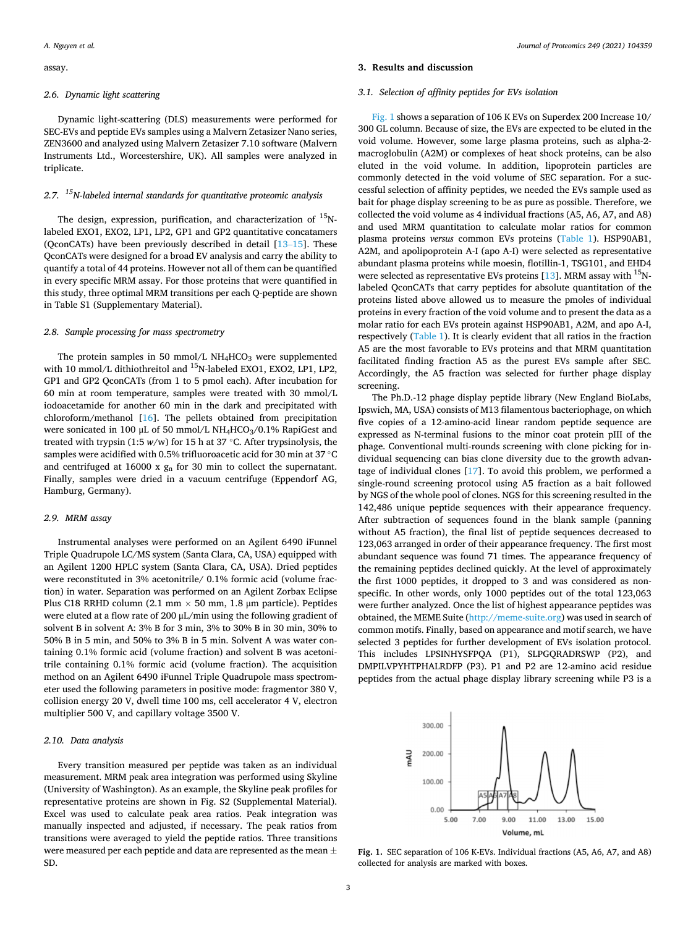assay.

#### *2.6. Dynamic light scattering*

Dynamic light-scattering (DLS) measurements were performed for SEC-EVs and peptide EVs samples using a Malvern Zetasizer Nano series, ZEN3600 and analyzed using Malvern Zetasizer 7.10 software (Malvern Instruments Ltd., Worcestershire, UK). All samples were analyzed in triplicate.

# *2.7. 15N-labeled internal standards for quantitative proteomic analysis*

The design, expression, purification, and characterization of  $^{15}$ Nlabeled EXO1, EXO2, LP1, LP2, GP1 and GP2 quantitative concatamers (QconCATs) have been previously described in detail  $[13-15]$  $[13-15]$ . These QconCATs were designed for a broad EV analysis and carry the ability to quantify a total of 44 proteins. However not all of them can be quantified in every specific MRM assay. For those proteins that were quantified in this study, three optimal MRM transitions per each Q-peptide are shown in Table S1 (Supplementary Material).

#### *2.8. Sample processing for mass spectrometry*

The protein samples in 50 mmol/L  $NH<sub>4</sub>HCO<sub>3</sub>$  were supplemented with 10 mmol/L dithiothreitol and <sup>15</sup>N-labeled EXO1, EXO2, LP1, LP2, GP1 and GP2 QconCATs (from 1 to 5 pmol each). After incubation for 60 min at room temperature, samples were treated with 30 mmol/L iodoacetamide for another 60 min in the dark and precipitated with chloroform/methanol [\[16](#page-4-0)]. The pellets obtained from precipitation were sonicated in 100  $\mu$ L of 50 mmol/L NH<sub>4</sub>HCO<sub>3</sub>/0.1% RapiGest and treated with trypsin (1:5  $w/w$ ) for 15 h at 37 °C. After trypsinolysis, the samples were acidified with 0.5% trifluoroacetic acid for 30 min at 37 °C and centrifuged at 16000 x gn for 30 min to collect the supernatant. Finally, samples were dried in a vacuum centrifuge (Eppendorf AG, Hamburg, Germany).

#### *2.9. MRM assay*

Instrumental analyses were performed on an Agilent 6490 iFunnel Triple Quadrupole LC/MS system (Santa Clara, CA, USA) equipped with an Agilent 1200 HPLC system (Santa Clara, CA, USA). Dried peptides were reconstituted in 3% acetonitrile/ 0.1% formic acid (volume fraction) in water. Separation was performed on an Agilent Zorbax Eclipse Plus C18 RRHD column (2.1 mm  $\times$  50 mm, 1.8 µm particle). Peptides were eluted at a flow rate of 200 μL/min using the following gradient of solvent B in solvent A: 3% B for 3 min, 3% to 30% B in 30 min, 30% to 50% B in 5 min, and 50% to 3% B in 5 min. Solvent A was water containing 0.1% formic acid (volume fraction) and solvent B was acetonitrile containing 0.1% formic acid (volume fraction). The acquisition method on an Agilent 6490 iFunnel Triple Quadrupole mass spectrometer used the following parameters in positive mode: fragmentor 380 V, collision energy 20 V, dwell time 100 ms, cell accelerator 4 V, electron multiplier 500 V, and capillary voltage 3500 V.

#### *2.10. Data analysis*

Every transition measured per peptide was taken as an individual measurement. MRM peak area integration was performed using Skyline (University of Washington). As an example, the Skyline peak profiles for representative proteins are shown in Fig. S2 (Supplemental Material). Excel was used to calculate peak area ratios. Peak integration was manually inspected and adjusted, if necessary. The peak ratios from transitions were averaged to yield the peptide ratios. Three transitions were measured per each peptide and data are represented as the mean  $\pm$ SD.

#### **3. Results and discussion**

#### *3.1. Selection of affinity peptides for EVs isolation*

Fig. 1 shows a separation of 106 K EVs on Superdex 200 Increase 10/ 300 GL column. Because of size, the EVs are expected to be eluted in the void volume. However, some large plasma proteins, such as alpha-2 macroglobulin (A2M) or complexes of heat shock proteins, can be also eluted in the void volume. In addition, lipoprotein particles are commonly detected in the void volume of SEC separation. For a successful selection of affinity peptides, we needed the EVs sample used as bait for phage display screening to be as pure as possible. Therefore, we collected the void volume as 4 individual fractions (A5, A6, A7, and A8) and used MRM quantitation to calculate molar ratios for common plasma proteins *versus* common EVs proteins ([Table 1\)](#page-3-0). HSP90AB1, A2M, and apolipoprotein A-I (apo A-I) were selected as representative abundant plasma proteins while moesin, flotillin-1, TSG101, and EHD4 were selected as representative EVs proteins [\[13](#page-4-0)]. MRM assay with  $^{15}$ Nlabeled QconCATs that carry peptides for absolute quantitation of the proteins listed above allowed us to measure the pmoles of individual proteins in every fraction of the void volume and to present the data as a molar ratio for each EVs protein against HSP90AB1, A2M, and apo A-I, respectively [\(Table 1](#page-3-0)). It is clearly evident that all ratios in the fraction A5 are the most favorable to EVs proteins and that MRM quantitation facilitated finding fraction A5 as the purest EVs sample after SEC. Accordingly, the A5 fraction was selected for further phage display screening.

The Ph.D.-12 phage display peptide library (New England BioLabs, Ipswich, MA, USA) consists of M13 filamentous bacteriophage, on which five copies of a 12-amino-acid linear random peptide sequence are expressed as N-terminal fusions to the minor coat protein pIII of the phage. Conventional multi-rounds screening with clone picking for individual sequencing can bias clone diversity due to the growth advantage of individual clones [\[17](#page-4-0)]. To avoid this problem, we performed a single-round screening protocol using A5 fraction as a bait followed by NGS of the whole pool of clones. NGS for this screening resulted in the 142,486 unique peptide sequences with their appearance frequency. After subtraction of sequences found in the blank sample (panning without A5 fraction), the final list of peptide sequences decreased to 123,063 arranged in order of their appearance frequency. The first most abundant sequence was found 71 times. The appearance frequency of the remaining peptides declined quickly. At the level of approximately the first 1000 peptides, it dropped to 3 and was considered as nonspecific. In other words, only 1000 peptides out of the total 123,063 were further analyzed. Once the list of highest appearance peptides was obtained, the MEME Suite [\(http://meme-suite.org](http://meme-suite.org)) was used in search of common motifs. Finally, based on appearance and motif search, we have selected 3 peptides for further development of EVs isolation protocol. This includes LPSINHYSFPQA (P1), SLPGQRADRSWP (P2), and DMPILVPYHTPHALRDFP (P3). P1 and P2 are 12-amino acid residue peptides from the actual phage display library screening while P3 is a



**Fig. 1.** SEC separation of 106 K-EVs. Individual fractions (A5, A6, A7, and A8) collected for analysis are marked with boxes.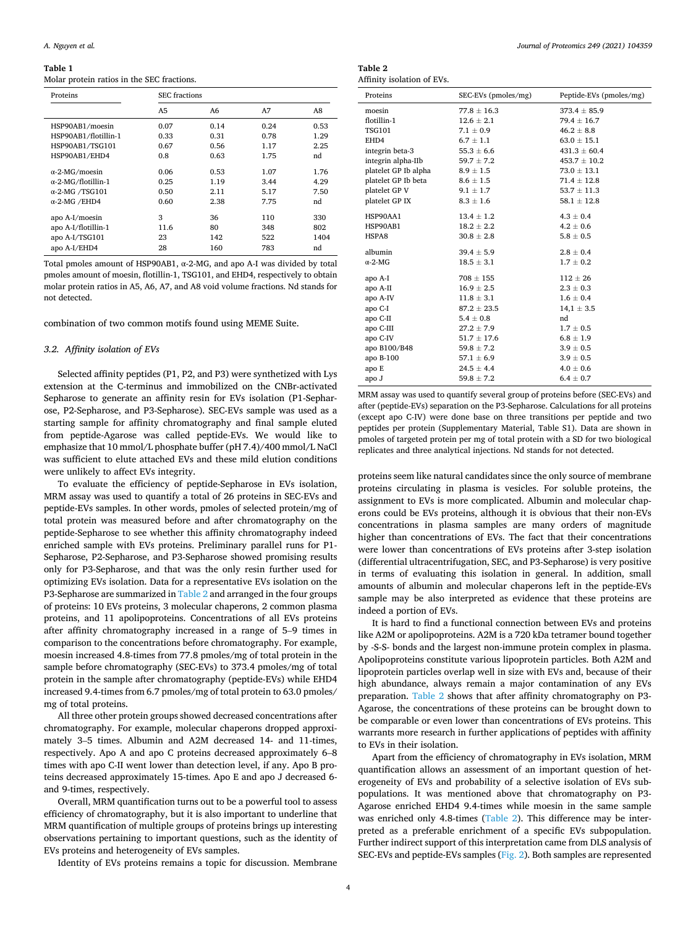#### <span id="page-3-0"></span>**Table 1**

Molar protein ratios in the SEC fractions.

| Proteins                   |      | <b>SEC</b> fractions |      |      |
|----------------------------|------|----------------------|------|------|
|                            | A5   | A6                   | A7   | A8   |
| HSP90AB1/moesin            | 0.07 | 0.14                 | 0.24 | 0.53 |
| HSP90AB1/flotillin-1       | 0.33 | 0.31                 | 0.78 | 1.29 |
| HSP90AB1/TSG101            | 0.67 | 0.56                 | 1.17 | 2.25 |
| HSP90AB1/EHD4              | 0.8  | 0.63                 | 1.75 | nd   |
| $\alpha$ -2-MG/moesin      | 0.06 | 0.53                 | 1.07 | 1.76 |
| $\alpha$ -2-MG/flotillin-1 | 0.25 | 1.19                 | 3.44 | 4.29 |
| $\alpha$ -2-MG /TSG101     | 0.50 | 2.11                 | 5.17 | 7.50 |
| $\alpha$ -2-MG /EHD4       | 0.60 | 2.38                 | 7.75 | nd   |
| apo A-I/moesin             | 3    | 36                   | 110  | 330  |
| apo A-I/flotillin-1        | 11.6 | 80                   | 348  | 802  |
| apo A-I/TSG101             | 23   | 142                  | 522  | 1404 |
| apo A-I/EHD4               | 28   | 160                  | 783  | nd   |

Total pmoles amount of HSP90AB1, α-2-MG, and apo A-I was divided by total pmoles amount of moesin, flotillin-1, TSG101, and EHD4, respectively to obtain molar protein ratios in A5, A6, A7, and A8 void volume fractions. Nd stands for not detected.

combination of two common motifs found using MEME Suite.

#### *3.2. Affinity isolation of EVs*

Selected affinity peptides (P1, P2, and P3) were synthetized with Lys extension at the C-terminus and immobilized on the CNBr-activated Sepharose to generate an affinity resin for EVs isolation (P1-Sepharose, P2-Sepharose, and P3-Sepharose). SEC-EVs sample was used as a starting sample for affinity chromatography and final sample eluted from peptide-Agarose was called peptide-EVs. We would like to emphasize that 10 mmol/L phosphate buffer (pH 7.4)/400 mmol/L NaCl was sufficient to elute attached EVs and these mild elution conditions were unlikely to affect EVs integrity.

To evaluate the efficiency of peptide-Sepharose in EVs isolation, MRM assay was used to quantify a total of 26 proteins in SEC-EVs and peptide-EVs samples. In other words, pmoles of selected protein/mg of total protein was measured before and after chromatography on the peptide-Sepharose to see whether this affinity chromatography indeed enriched sample with EVs proteins. Preliminary parallel runs for P1- Sepharose, P2-Sepharose, and P3-Sepharose showed promising results only for P3-Sepharose, and that was the only resin further used for optimizing EVs isolation. Data for a representative EVs isolation on the P3-Sepharose are summarized in Table 2 and arranged in the four groups of proteins: 10 EVs proteins, 3 molecular chaperons, 2 common plasma proteins, and 11 apolipoproteins. Concentrations of all EVs proteins after affinity chromatography increased in a range of 5–9 times in comparison to the concentrations before chromatography. For example, moesin increased 4.8-times from 77.8 pmoles/mg of total protein in the sample before chromatography (SEC-EVs) to 373.4 pmoles/mg of total protein in the sample after chromatography (peptide-EVs) while EHD4 increased 9.4-times from 6.7 pmoles/mg of total protein to 63.0 pmoles/ mg of total proteins.

All three other protein groups showed decreased concentrations after chromatography. For example, molecular chaperons dropped approximately 3–5 times. Albumin and A2M decreased 14- and 11-times, respectively. Apo A and apo C proteins decreased approximately 6–8 times with apo C-II went lower than detection level, if any. Apo B proteins decreased approximately 15-times. Apo E and apo J decreased 6 and 9-times, respectively.

Overall, MRM quantification turns out to be a powerful tool to assess efficiency of chromatography, but it is also important to underline that MRM quantification of multiple groups of proteins brings up interesting observations pertaining to important questions, such as the identity of EVs proteins and heterogeneity of EVs samples.

Identity of EVs proteins remains a topic for discussion. Membrane

| Table 2                    |
|----------------------------|
| Affinity isolation of EVs. |

| Proteins             | SEC-EVs (pmoles/mg) | Peptide-EVs (pmoles/mg) |
|----------------------|---------------------|-------------------------|
| moesin               | $77.8 \pm 16.3$     | $373.4 \pm 85.9$        |
| flotillin-1          | $12.6 \pm 2.1$      | $79.4 \pm 16.7$         |
| <b>TSG101</b>        | $7.1 \pm 0.9$       | $46.2 \pm 8.8$          |
| EHD4                 | $6.7 \pm 1.1$       | $63.0 \pm 15.1$         |
| integrin beta-3      | $55.3 \pm 6.6$      | $431.3 \pm 60.4$        |
| integrin alpha-IIb   | $59.7 \pm 7.2$      | $453.7 \pm 10.2$        |
| platelet GP Ib alpha | $8.9 \pm 1.5$       | $73.0 \pm 13.1$         |
| platelet GP Ib beta  | $8.6 \pm 1.5$       | $71.4 \pm 12.8$         |
| platelet GP V        | $9.1 \pm 1.7$       | $53.7 \pm 11.3$         |
| platelet GP IX       | $8.3 \pm 1.6$       | $58.1 \pm 12.8$         |
| HSP90AA1             | $13.4 \pm 1.2$      | $4.3 \pm 0.4$           |
| HSP90AB1             | $18.2 \pm 2.2$      | $4.2 \pm 0.6$           |
| HSPA8                | $30.8 \pm 2.8$      | $5.8 \pm 0.5$           |
|                      |                     |                         |
| albumin              | $39.4 \pm 5.9$      | $2.8 \pm 0.4$           |
| $\alpha$ -2-MG       | $18.5 \pm 3.1$      | $1.7 \pm 0.2$           |
| apo A-I              | $708 \pm 155$       | $112 \pm 26$            |
| apo A-II             | $16.9 \pm 2.5$      | $2.3 \pm 0.3$           |
| apo A-IV             | $11.8 \pm 3.1$      | $1.6 \pm 0.4$           |
| apo C-I              | $87.2 \pm 23.5$     | $14.1 \pm 3.5$          |
| apo C-II             | $5.4 \pm 0.8$       | nd                      |
| apo C-III            | $27.2 \pm 7.9$      | $1.7 \pm 0.5$           |
| apo C-IV             | $51.7 \pm 17.6$     | $6.8 \pm 1.9$           |
| apo B100/B48         | $59.8 \pm 7.2$      | $3.9 \pm 0.5$           |
| apo B-100            | $57.1 \pm 6.9$      | $3.9 \pm 0.5$           |
| apo E                | $24.5 \pm 4.4$      | $4.0 \pm 0.6$           |
| apo J                | $59.8 \pm 7.2$      | $6.4 \pm 0.7$           |

MRM assay was used to quantify several group of proteins before (SEC-EVs) and after (peptide-EVs) separation on the P3-Sepharose. Calculations for all proteins (except apo C-IV) were done base on three transitions per peptide and two peptides per protein (Supplementary Material, Table S1). Data are shown in pmoles of targeted protein per mg of total protein with a SD for two biological replicates and three analytical injections. Nd stands for not detected.

proteins seem like natural candidates since the only source of membrane proteins circulating in plasma is vesicles. For soluble proteins, the assignment to EVs is more complicated. Albumin and molecular chaperons could be EVs proteins, although it is obvious that their non-EVs concentrations in plasma samples are many orders of magnitude higher than concentrations of EVs. The fact that their concentrations were lower than concentrations of EVs proteins after 3-step isolation (differential ultracentrifugation, SEC, and P3-Sepharose) is very positive in terms of evaluating this isolation in general. In addition, small amounts of albumin and molecular chaperons left in the peptide-EVs sample may be also interpreted as evidence that these proteins are indeed a portion of EVs.

It is hard to find a functional connection between EVs and proteins like A2M or apolipoproteins. A2M is a 720 kDa tetramer bound together by -S-S- bonds and the largest non-immune protein complex in plasma. Apolipoproteins constitute various lipoprotein particles. Both A2M and lipoprotein particles overlap well in size with EVs and, because of their high abundance, always remain a major contamination of any EVs preparation. Table 2 shows that after affinity chromatography on P3- Agarose, the concentrations of these proteins can be brought down to be comparable or even lower than concentrations of EVs proteins. This warrants more research in further applications of peptides with affinity to EVs in their isolation.

Apart from the efficiency of chromatography in EVs isolation, MRM quantification allows an assessment of an important question of heterogeneity of EVs and probability of a selective isolation of EVs subpopulations. It was mentioned above that chromatography on P3- Agarose enriched EHD4 9.4-times while moesin in the same sample was enriched only 4.8-times (Table 2). This difference may be interpreted as a preferable enrichment of a specific EVs subpopulation. Further indirect support of this interpretation came from DLS analysis of SEC-EVs and peptide-EVs samples [\(Fig. 2\)](#page-4-0). Both samples are represented